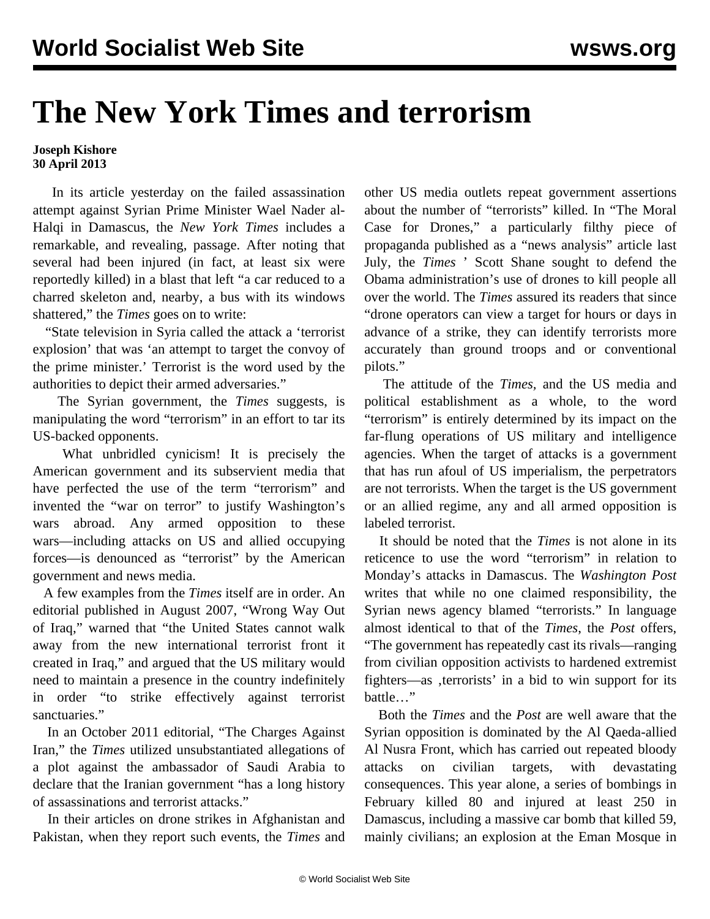## **The New York Times and terrorism**

## **Joseph Kishore 30 April 2013**

 In its [article](http://www.nytimes.com/2013/04/30/world/middleeast/syria-war-developments.html?hp) yesterday on the failed assassination attempt against Syrian Prime Minister Wael Nader al-Halqi in Damascus, the *New York Times* includes a remarkable, and revealing, passage. After noting that several had been injured (in fact, at least six were reportedly killed) in a blast that left "a car reduced to a charred skeleton and, nearby, a bus with its windows shattered," the *Times* goes on to write:

 "State television in Syria called the attack a 'terrorist explosion' that was 'an attempt to target the convoy of the prime minister.' Terrorist is the word used by the authorities to depict their armed adversaries."

 The Syrian government, the *Times* suggests, is manipulating the word "terrorism" in an effort to tar its US-backed opponents.

 What unbridled cynicism! It is precisely the American government and its subservient media that have perfected the use of the term "terrorism" and invented the "war on terror" to justify Washington's wars abroad. Any armed opposition to these wars—including attacks on US and allied occupying forces—is denounced as "terrorist" by the American government and news media.

 A few examples from the *Times* itself are in order. An editorial published in August 2007, ["Wrong Way Out](http://www.nytimes.com/2007/08/13/opinion/13mon1.html?ref=editorials) [of Iraq,](http://www.nytimes.com/2007/08/13/opinion/13mon1.html?ref=editorials)" warned that "the United States cannot walk away from the new international terrorist front it created in Iraq," and argued that the US military would need to maintain a presence in the country indefinitely in order "to strike effectively against terrorist sanctuaries."

 In an October 2011 editorial, "[The Charges Against](http://www.nytimes.com/2011/10/13/opinion/the-charges-against-iran.html?ref=editorials) [Iran,](http://www.nytimes.com/2011/10/13/opinion/the-charges-against-iran.html?ref=editorials)" the *Times* utilized unsubstantiated allegations of a plot against the ambassador of Saudi Arabia to declare that the Iranian government "has a long history of assassinations and terrorist attacks."

 In their articles on drone strikes in Afghanistan and Pakistan, when they report such events, the *Times* and

other US media outlets repeat government assertions about the number of "terrorists" killed. In ["The Moral](http://www.nytimes.com/2012/07/15/sunday-review/the-moral-case-for-drones.html) [Case for Drones](http://www.nytimes.com/2012/07/15/sunday-review/the-moral-case-for-drones.html)," a particularly filthy piece of propaganda published as a "news analysis" article last July, the *Times* ' Scott Shane sought to defend the Obama administration's use of drones to kill people all over the world. The *Times* assured its readers that since "drone operators can view a target for hours or days in advance of a strike, they can identify terrorists more accurately than ground troops and or conventional pilots."

 The attitude of the *Times,* and the US media and political establishment as a whole, to the word "terrorism" is entirely determined by its impact on the far-flung operations of US military and intelligence agencies. When the target of attacks is a government that has run afoul of US imperialism, the perpetrators are not terrorists. When the target is the US government or an allied regime, any and all armed opposition is labeled terrorist.

 It should be noted that the *Times* is not alone in its reticence to use the word "terrorism" in relation to Monday's attacks in Damascus. The *Washington Post* writes that while no one claimed responsibility, the Syrian news agency blamed "terrorists." In language almost identical to that of the *Times*, the *Post* offers, "The government has repeatedly cast its rivals—ranging from civilian opposition activists to hardened extremist fighters—as , terrorists' in a bid to win support for its battle…"

 Both the *Times* and the *Post* are well aware that the Syrian opposition is dominated by the Al Qaeda-allied Al Nusra Front, which has carried out repeated bloody attacks on civilian targets, with devastating consequences. This year alone, a series of bombings in February killed 80 and injured at least 250 in Damascus, including a massive car bomb that killed 59, mainly civilians; an explosion at the Eman Mosque in